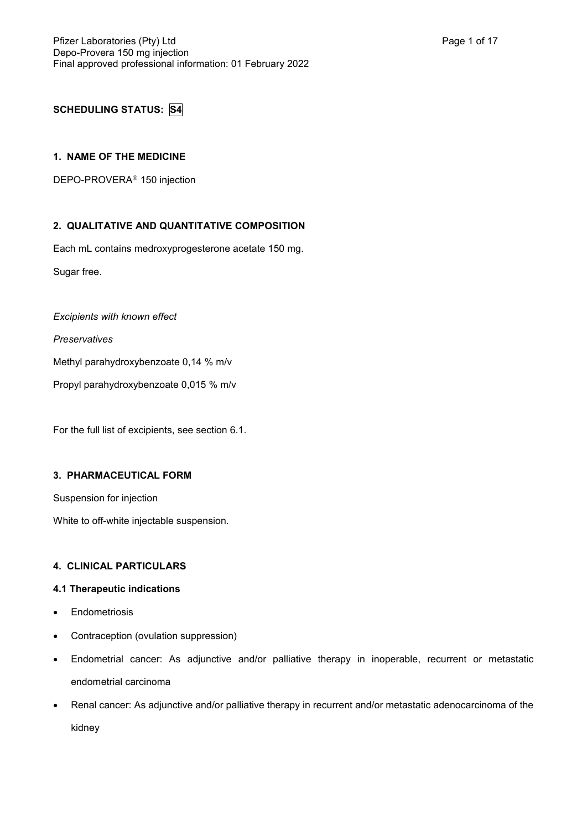# **SCHEDULING STATUS: S4**

## **1. NAME OF THE MEDICINE**

DEPO-PROVERA<sup>®</sup> 150 injection

# **2. QUALITATIVE AND QUANTITATIVE COMPOSITION**

Each mL contains medroxyprogesterone acetate 150 mg.

Sugar free.

*Excipients with known effect*

*Preservatives*

Methyl parahydroxybenzoate 0,14 % m/v

Propyl parahydroxybenzoate 0,015 % m/v

For the full list of excipients, see section 6.1.

# **3. PHARMACEUTICAL FORM**

Suspension for injection

White to off-white injectable suspension.

# **4. CLINICAL PARTICULARS**

## **4.1 Therapeutic indications**

- Endometriosis
- Contraception (ovulation suppression)
- Endometrial cancer: As adjunctive and/or palliative therapy in inoperable, recurrent or metastatic endometrial carcinoma
- Renal cancer: As adjunctive and/or palliative therapy in recurrent and/or metastatic adenocarcinoma of the kidney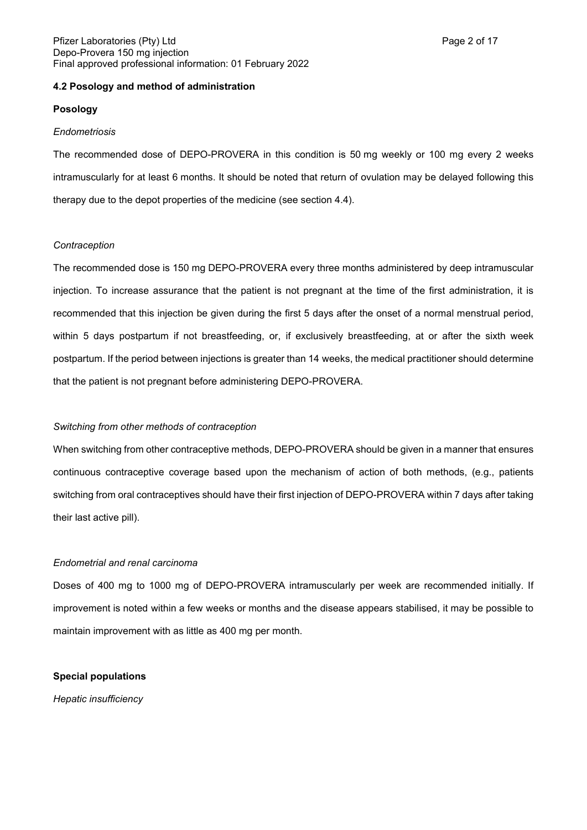## **4.2 Posology and method of administration**

#### **Posology**

#### *Endometriosis*

The recommended dose of DEPO-PROVERA in this condition is 50 mg weekly or 100 mg every 2 weeks intramuscularly for at least 6 months. It should be noted that return of ovulation may be delayed following this therapy due to the depot properties of the medicine (see section 4.4).

## *Contraception*

The recommended dose is 150 mg DEPO-PROVERA every three months administered by deep intramuscular injection. To increase assurance that the patient is not pregnant at the time of the first administration, it is recommended that this injection be given during the first 5 days after the onset of a normal menstrual period, within 5 days postpartum if not breastfeeding, or, if exclusively breastfeeding, at or after the sixth week postpartum. If the period between injections is greater than 14 weeks, the medical practitioner should determine that the patient is not pregnant before administering DEPO-PROVERA.

## *Switching from other methods of contraception*

When switching from other contraceptive methods, DEPO-PROVERA should be given in a manner that ensures continuous contraceptive coverage based upon the mechanism of action of both methods, (e.g., patients switching from oral contraceptives should have their first injection of DEPO-PROVERA within 7 days after taking their last active pill).

## *Endometrial and renal carcinoma*

Doses of 400 mg to 1000 mg of DEPO-PROVERA intramuscularly per week are recommended initially. If improvement is noted within a few weeks or months and the disease appears stabilised, it may be possible to maintain improvement with as little as 400 mg per month.

#### **Special populations**

*Hepatic insufficiency*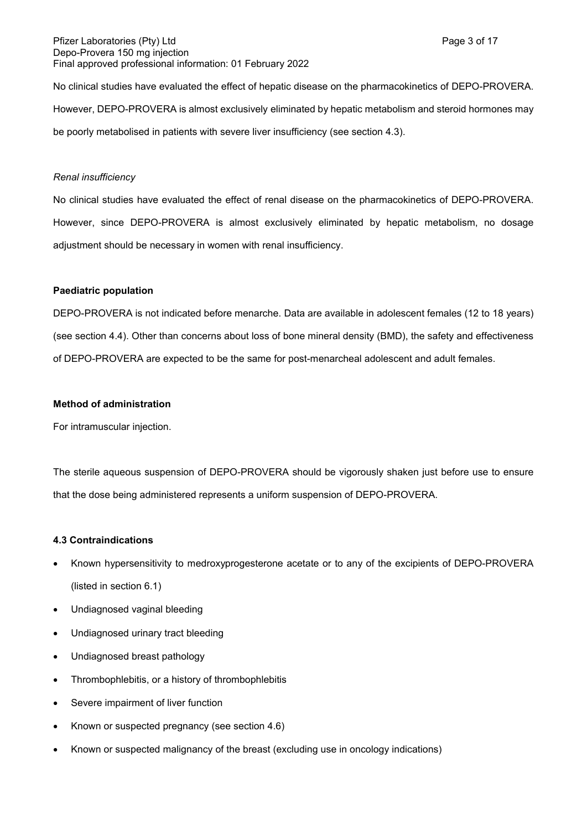#### Pfizer Laboratories (Pty) Ltd **Page 3 of 17** and Page 3 of 17 Depo-Provera 150 mg injection Final approved professional information: 01 February 2022

No clinical studies have evaluated the effect of hepatic disease on the pharmacokinetics of DEPO-PROVERA. However, DEPO-PROVERA is almost exclusively eliminated by hepatic metabolism and steroid hormones may be poorly metabolised in patients with severe liver insufficiency (see section 4.3).

#### *Renal insufficiency*

No clinical studies have evaluated the effect of renal disease on the pharmacokinetics of DEPO-PROVERA. However, since DEPO-PROVERA is almost exclusively eliminated by hepatic metabolism, no dosage adjustment should be necessary in women with renal insufficiency.

#### **Paediatric population**

DEPO-PROVERA is not indicated before menarche. Data are available in adolescent females (12 to 18 years) (see section 4.4). Other than concerns about loss of bone mineral density (BMD), the safety and effectiveness of DEPO-PROVERA are expected to be the same for post-menarcheal adolescent and adult females.

#### **Method of administration**

For intramuscular injection.

The sterile aqueous suspension of DEPO-PROVERA should be vigorously shaken just before use to ensure that the dose being administered represents a uniform suspension of DEPO-PROVERA.

## **4.3 Contraindications**

- Known hypersensitivity to medroxyprogesterone acetate or to any of the excipients of DEPO-PROVERA (listed in section 6.1)
- Undiagnosed vaginal bleeding
- Undiagnosed urinary tract bleeding
- Undiagnosed breast pathology
- Thrombophlebitis, or a history of thrombophlebitis
- Severe impairment of liver function
- Known or suspected pregnancy (see section 4.6)
- Known or suspected malignancy of the breast (excluding use in oncology indications)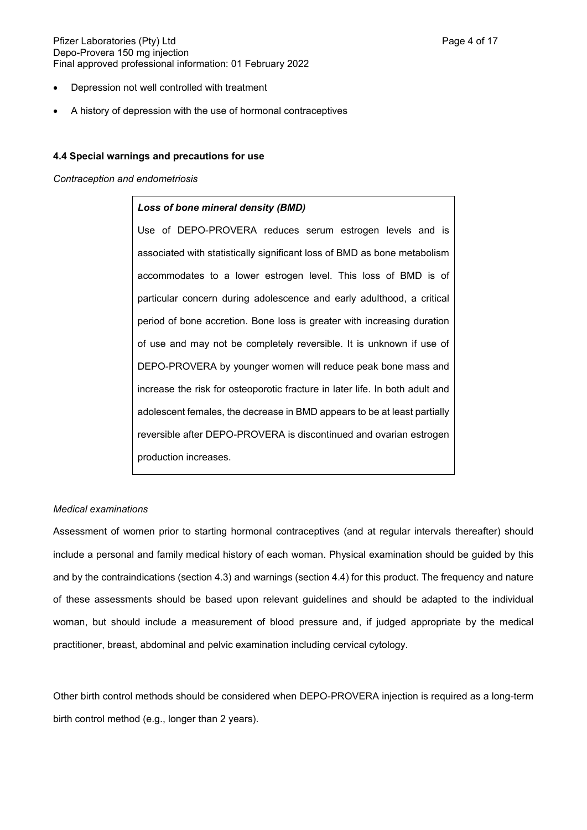#### Pfizer Laboratories (Pty) Ltd **Philosopheratories** (Pty) Ltd **Page 4 of 17** Depo-Provera 150 mg injection Final approved professional information: 01 February 2022

- Depression not well controlled with treatment
- A history of depression with the use of hormonal contraceptives

## **4.4 Special warnings and precautions for use**

*Contraception and endometriosis*

## *Loss of bone mineral density (BMD)*

Use of DEPO-PROVERA reduces serum estrogen levels and is associated with statistically significant loss of BMD as bone metabolism accommodates to a lower estrogen level. This loss of BMD is of particular concern during adolescence and early adulthood, a critical period of bone accretion. Bone loss is greater with increasing duration of use and may not be completely reversible. It is unknown if use of DEPO-PROVERA by younger women will reduce peak bone mass and increase the risk for osteoporotic fracture in later life. In both adult and adolescent females, the decrease in BMD appears to be at least partially reversible after DEPO-PROVERA is discontinued and ovarian estrogen production increases.

## *Medical examinations*

Assessment of women prior to starting hormonal contraceptives (and at regular intervals thereafter) should include a personal and family medical history of each woman. Physical examination should be guided by this and by the contraindications (section 4.3) and warnings (section 4.4) for this product. The frequency and nature of these assessments should be based upon relevant guidelines and should be adapted to the individual woman, but should include a measurement of blood pressure and, if judged appropriate by the medical practitioner, breast, abdominal and pelvic examination including cervical cytology.

Other birth control methods should be considered when DEPO-PROVERA injection is required as a long-term birth control method (e.g., longer than 2 years).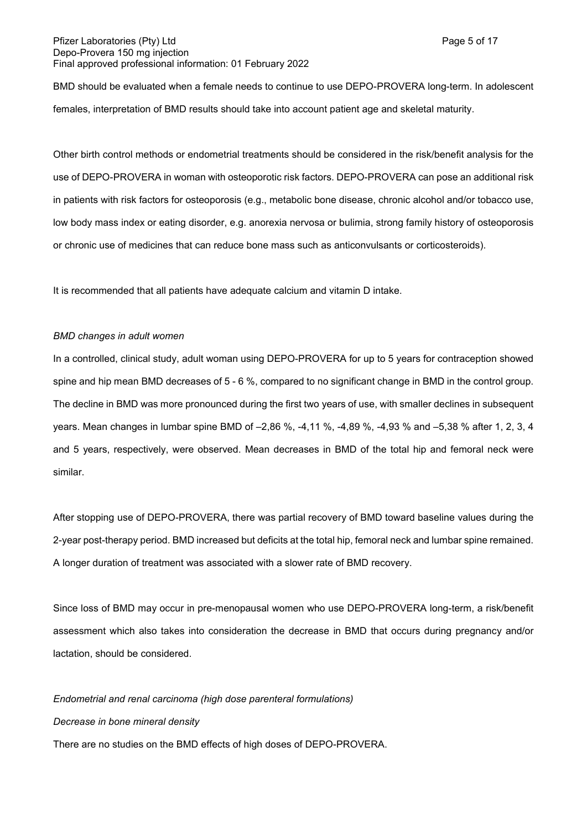BMD should be evaluated when a female needs to continue to use DEPO-PROVERA long-term. In adolescent females, interpretation of BMD results should take into account patient age and skeletal maturity.

Other birth control methods or endometrial treatments should be considered in the risk/benefit analysis for the use of DEPO-PROVERA in woman with osteoporotic risk factors. DEPO-PROVERA can pose an additional risk in patients with risk factors for osteoporosis (e.g., metabolic bone disease, chronic alcohol and/or tobacco use, low body mass index or eating disorder, e.g. anorexia nervosa or bulimia, strong family history of osteoporosis or chronic use of medicines that can reduce bone mass such as anticonvulsants or corticosteroids).

It is recommended that all patients have adequate calcium and vitamin D intake.

#### *BMD changes in adult women*

In a controlled, clinical study, adult woman using DEPO-PROVERA for up to 5 years for contraception showed spine and hip mean BMD decreases of 5 - 6 %, compared to no significant change in BMD in the control group. The decline in BMD was more pronounced during the first two years of use, with smaller declines in subsequent years. Mean changes in lumbar spine BMD of –2,86 %, -4,11 %, -4,89 %, -4,93 % and –5,38 % after 1, 2, 3, 4 and 5 years, respectively, were observed. Mean decreases in BMD of the total hip and femoral neck were similar.

After stopping use of DEPO-PROVERA, there was partial recovery of BMD toward baseline values during the 2-year post-therapy period. BMD increased but deficits at the total hip, femoral neck and lumbar spine remained. A longer duration of treatment was associated with a slower rate of BMD recovery.

Since loss of BMD may occur in pre-menopausal women who use DEPO-PROVERA long-term, a risk/benefit assessment which also takes into consideration the decrease in BMD that occurs during pregnancy and/or lactation, should be considered.

#### *Endometrial and renal carcinoma (high dose parenteral formulations)*

#### *Decrease in bone mineral density*

There are no studies on the BMD effects of high doses of DEPO-PROVERA.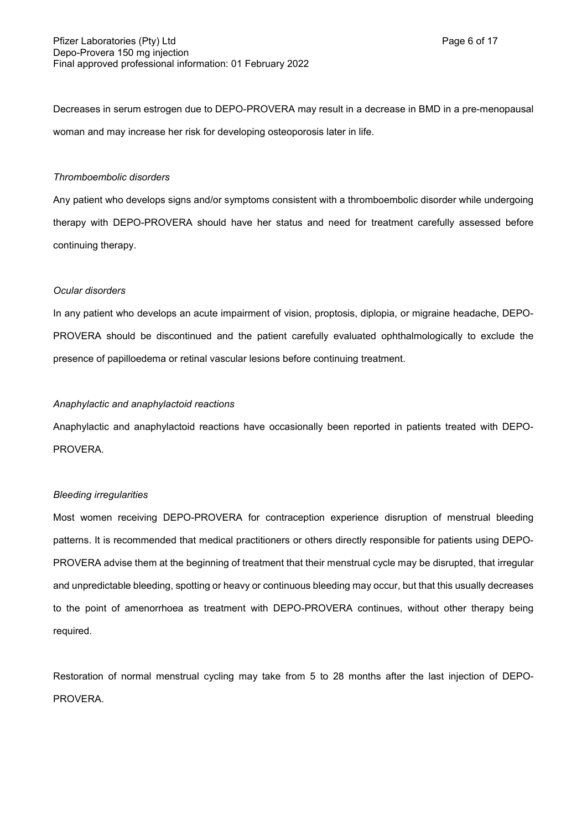Decreases in serum estrogen due to DEPO-PROVERA may result in a decrease in BMD in a pre-menopausal woman and may increase her risk for developing osteoporosis later in life.

## *Thromboembolic disorders*

Any patient who develops signs and/or symptoms consistent with a thromboembolic disorder while undergoing therapy with DEPO-PROVERA should have her status and need for treatment carefully assessed before continuing therapy.

#### *Ocular disorders*

In any patient who develops an acute impairment of vision, proptosis, diplopia, or migraine headache, DEPO-PROVERA should be discontinued and the patient carefully evaluated ophthalmologically to exclude the presence of papilloedema or retinal vascular lesions before continuing treatment.

## *Anaphylactic and anaphylactoid reactions*

Anaphylactic and anaphylactoid reactions have occasionally been reported in patients treated with DEPO-PROVERA.

## *Bleeding irregularities*

Most women receiving DEPO-PROVERA for contraception experience disruption of menstrual bleeding patterns. It is recommended that medical practitioners or others directly responsible for patients using DEPO-PROVERA advise them at the beginning of treatment that their menstrual cycle may be disrupted, that irregular and unpredictable bleeding, spotting or heavy or continuous bleeding may occur, but that this usually decreases to the point of amenorrhoea as treatment with DEPO-PROVERA continues, without other therapy being required.

Restoration of normal menstrual cycling may take from 5 to 28 months after the last injection of DEPO-PROVERA.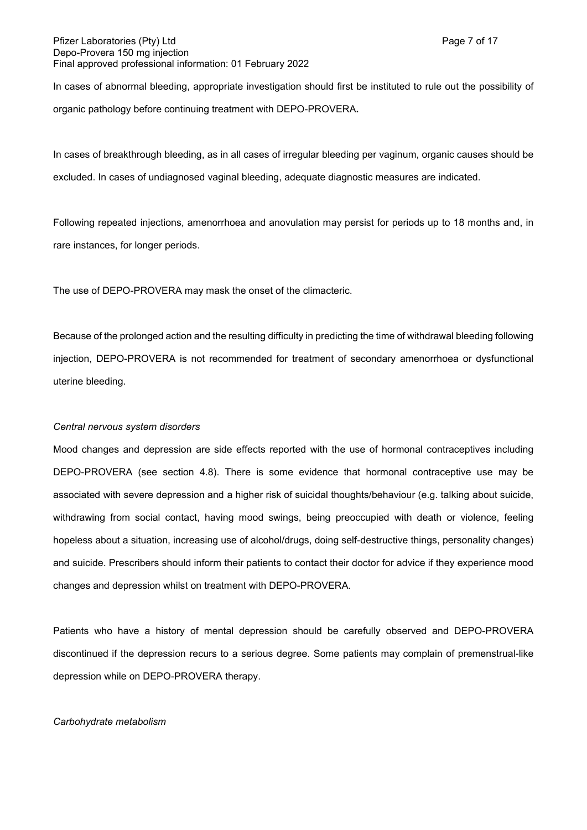#### Pfizer Laboratories (Pty) Ltd **Page 7 of 17** and Page 7 of 17 Depo-Provera 150 mg injection Final approved professional information: 01 February 2022

In cases of abnormal bleeding, appropriate investigation should first be instituted to rule out the possibility of organic pathology before continuing treatment with DEPO-PROVERA**.**

In cases of breakthrough bleeding, as in all cases of irregular bleeding per vaginum, organic causes should be excluded. In cases of undiagnosed vaginal bleeding, adequate diagnostic measures are indicated.

Following repeated injections, amenorrhoea and anovulation may persist for periods up to 18 months and, in rare instances, for longer periods.

The use of DEPO-PROVERA may mask the onset of the climacteric.

Because of the prolonged action and the resulting difficulty in predicting the time of withdrawal bleeding following injection, DEPO-PROVERA is not recommended for treatment of secondary amenorrhoea or dysfunctional uterine bleeding.

## *Central nervous system disorders*

Mood changes and depression are side effects reported with the use of hormonal contraceptives including DEPO-PROVERA (see section 4.8). There is some evidence that hormonal contraceptive use may be associated with severe depression and a higher risk of suicidal thoughts/behaviour (e.g. talking about suicide, withdrawing from social contact, having mood swings, being preoccupied with death or violence, feeling hopeless about a situation, increasing use of alcohol/drugs, doing self-destructive things, personality changes) and suicide. Prescribers should inform their patients to contact their doctor for advice if they experience mood changes and depression whilst on treatment with DEPO-PROVERA.

Patients who have a history of mental depression should be carefully observed and DEPO-PROVERA discontinued if the depression recurs to a serious degree. Some patients may complain of premenstrual-like depression while on DEPO-PROVERA therapy.

#### *Carbohydrate metabolism*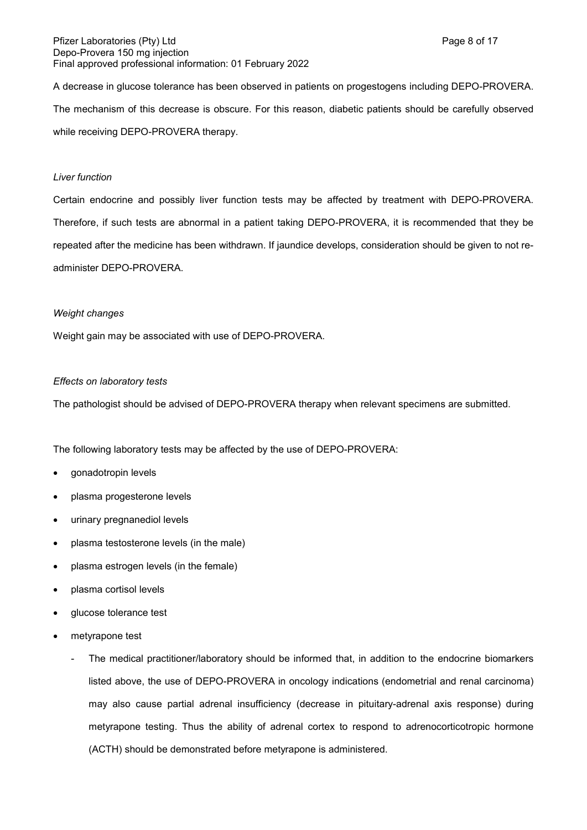#### Pfizer Laboratories (Pty) Ltd **Page 8 of 17** and Page 8 of 17 Depo-Provera 150 mg injection Final approved professional information: 01 February 2022

A decrease in glucose tolerance has been observed in patients on progestogens including DEPO-PROVERA. The mechanism of this decrease is obscure. For this reason, diabetic patients should be carefully observed while receiving DEPO-PROVERA therapy.

## *Liver function*

Certain endocrine and possibly liver function tests may be affected by treatment with DEPO-PROVERA. Therefore, if such tests are abnormal in a patient taking DEPO-PROVERA, it is recommended that they be repeated after the medicine has been withdrawn. If jaundice develops, consideration should be given to not readminister DEPO-PROVERA.

#### *Weight changes*

Weight gain may be associated with use of DEPO-PROVERA.

#### *Effects on laboratory tests*

The pathologist should be advised of DEPO-PROVERA therapy when relevant specimens are submitted.

The following laboratory tests may be affected by the use of DEPO-PROVERA:

- gonadotropin levels
- plasma progesterone levels
- urinary pregnanediol levels
- plasma testosterone levels (in the male)
- plasma estrogen levels (in the female)
- plasma cortisol levels
- glucose tolerance test
- metyrapone test
	- The medical practitioner/laboratory should be informed that, in addition to the endocrine biomarkers listed above, the use of DEPO-PROVERA in oncology indications (endometrial and renal carcinoma) may also cause partial adrenal insufficiency (decrease in pituitary-adrenal axis response) during metyrapone testing. Thus the ability of adrenal cortex to respond to adrenocorticotropic hormone (ACTH) should be demonstrated before metyrapone is administered.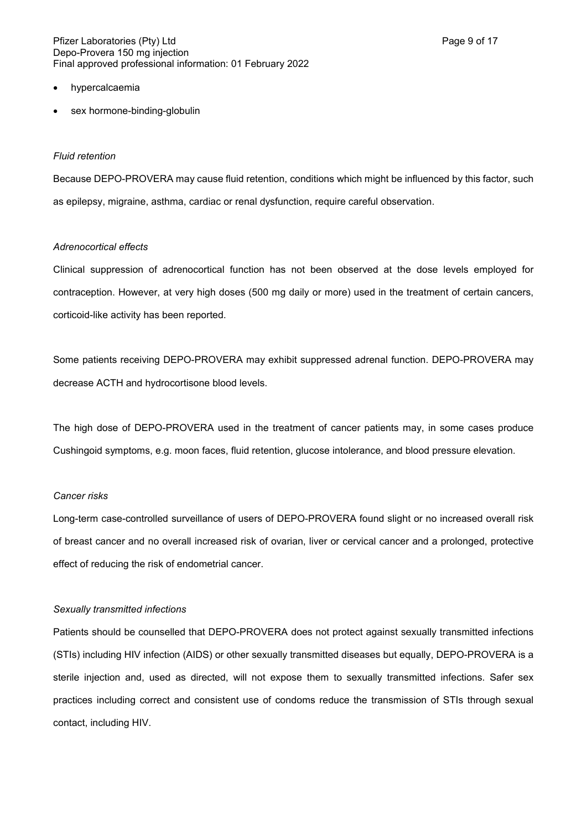#### Pfizer Laboratories (Pty) Ltd **Page 9 of 17** and Page 9 of 17 Depo-Provera 150 mg injection Final approved professional information: 01 February 2022

- hypercalcaemia
- sex hormone-binding-globulin

## *Fluid retention*

Because DEPO-PROVERA may cause fluid retention, conditions which might be influenced by this factor, such as epilepsy, migraine, asthma, cardiac or renal dysfunction, require careful observation.

## *Adrenocortical effects*

Clinical suppression of adrenocortical function has not been observed at the dose levels employed for contraception. However, at very high doses (500 mg daily or more) used in the treatment of certain cancers, corticoid-like activity has been reported.

Some patients receiving DEPO-PROVERA may exhibit suppressed adrenal function. DEPO-PROVERA may decrease ACTH and hydrocortisone blood levels.

The high dose of DEPO-PROVERA used in the treatment of cancer patients may, in some cases produce Cushingoid symptoms, e.g. moon faces, fluid retention, glucose intolerance, and blood pressure elevation.

# *Cancer risks*

Long-term case-controlled surveillance of users of DEPO-PROVERA found slight or no increased overall risk of breast cancer and no overall increased risk of ovarian, liver or cervical cancer and a prolonged, protective effect of reducing the risk of endometrial cancer.

## *Sexually transmitted infections*

Patients should be counselled that DEPO-PROVERA does not protect against sexually transmitted infections (STIs) including HIV infection (AIDS) or other sexually transmitted diseases but equally, DEPO-PROVERA is a sterile injection and, used as directed, will not expose them to sexually transmitted infections. Safer sex practices including correct and consistent use of condoms reduce the transmission of STIs through sexual contact, including HIV.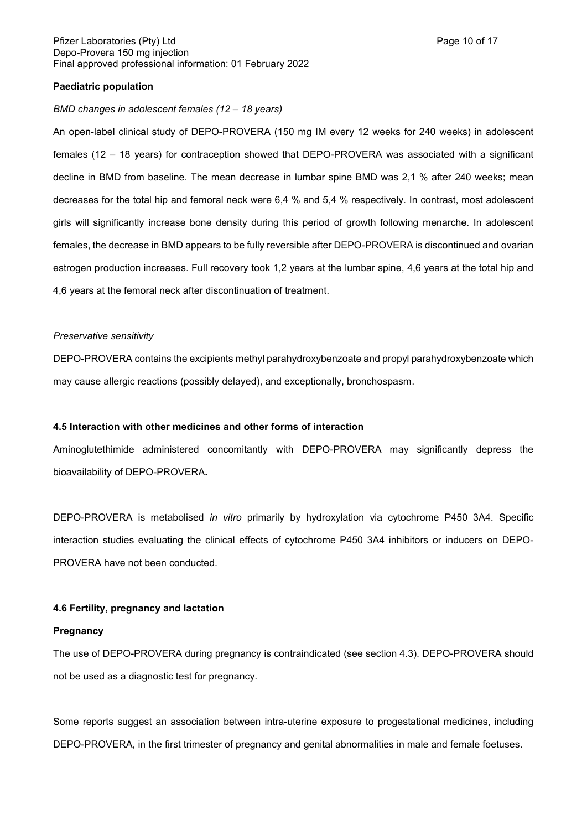#### Pfizer Laboratories (Pty) Ltd **Page 10 of 17** and Page 10 of 17 Depo-Provera 150 mg injection Final approved professional information: 01 February 2022

## **Paediatric population**

#### *BMD changes in adolescent females (12 – 18 years)*

An open-label clinical study of DEPO-PROVERA (150 mg IM every 12 weeks for 240 weeks) in adolescent females (12 – 18 years) for contraception showed that DEPO-PROVERA was associated with a significant decline in BMD from baseline. The mean decrease in lumbar spine BMD was 2,1 % after 240 weeks; mean decreases for the total hip and femoral neck were 6,4 % and 5,4 % respectively. In contrast, most adolescent girls will significantly increase bone density during this period of growth following menarche. In adolescent females, the decrease in BMD appears to be fully reversible after DEPO-PROVERA is discontinued and ovarian estrogen production increases. Full recovery took 1,2 years at the lumbar spine, 4,6 years at the total hip and 4,6 years at the femoral neck after discontinuation of treatment.

#### *Preservative sensitivity*

DEPO-PROVERA contains the excipients methyl parahydroxybenzoate and propyl parahydroxybenzoate which may cause allergic reactions (possibly delayed), and exceptionally, bronchospasm.

## **4.5 Interaction with other medicines and other forms of interaction**

Aminoglutethimide administered concomitantly with DEPO-PROVERA may significantly depress the bioavailability of DEPO-PROVERA**.**

DEPO-PROVERA is metabolised *in vitro* primarily by hydroxylation via cytochrome P450 3A4. Specific interaction studies evaluating the clinical effects of cytochrome P450 3A4 inhibitors or inducers on DEPO-PROVERA have not been conducted.

## **4.6 Fertility, pregnancy and lactation**

#### **Pregnancy**

The use of DEPO-PROVERA during pregnancy is contraindicated (see section 4.3). DEPO-PROVERA should not be used as a diagnostic test for pregnancy.

Some reports suggest an association between intra-uterine exposure to progestational medicines, including DEPO-PROVERA, in the first trimester of pregnancy and genital abnormalities in male and female foetuses.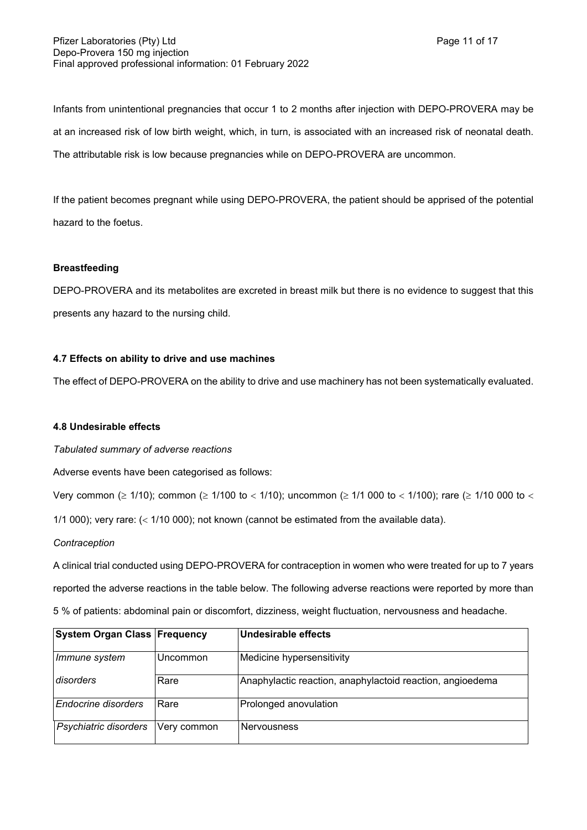Infants from unintentional pregnancies that occur 1 to 2 months after injection with DEPO-PROVERA may be at an increased risk of low birth weight, which, in turn, is associated with an increased risk of neonatal death.

The attributable risk is low because pregnancies while on DEPO-PROVERA are uncommon.

If the patient becomes pregnant while using DEPO-PROVERA, the patient should be apprised of the potential hazard to the foetus.

# **Breastfeeding**

DEPO-PROVERA and its metabolites are excreted in breast milk but there is no evidence to suggest that this presents any hazard to the nursing child.

## **4.7 Effects on ability to drive and use machines**

The effect of DEPO-PROVERA on the ability to drive and use machinery has not been systematically evaluated.

# **4.8 Undesirable effects**

*Tabulated summary of adverse reactions*

Adverse events have been categorised as follows:

Very common ( $\geq 1/10$ ); common ( $\geq 1/100$  to < 1/10); uncommon ( $\geq 1/1$  000 to < 1/100); rare ( $\geq 1/10$  000 to <

1/1 000); very rare:  $\left($  < 1/10 000); not known (cannot be estimated from the available data).

## *Contraception*

A clinical trial conducted using DEPO-PROVERA for contraception in women who were treated for up to 7 years reported the adverse reactions in the table below. The following adverse reactions were reported by more than 5 % of patients: abdominal pain or discomfort, dizziness, weight fluctuation, nervousness and headache.

| <b>System Organ Class Frequency</b> |             | <b>Undesirable effects</b>                                |
|-------------------------------------|-------------|-----------------------------------------------------------|
| Immune system                       | Uncommon    | Medicine hypersensitivity                                 |
| disorders                           | Rare        | Anaphylactic reaction, anaphylactoid reaction, angioedema |
| Endocrine disorders                 | Rare        | Prolonged anovulation                                     |
| Psychiatric disorders               | Very common | Nervousness                                               |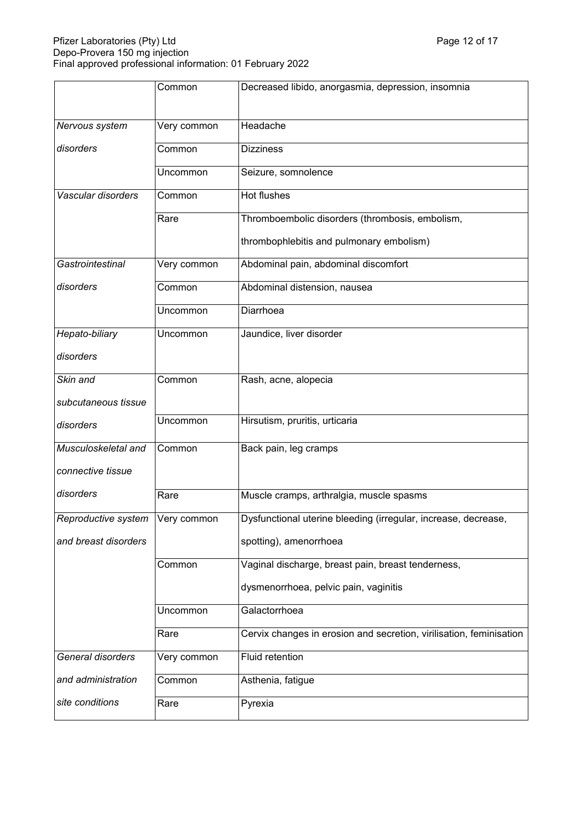## Pfizer Laboratories (Pty) Ltd Page 12 of 17 and Page 12 of 17 and Page 12 of 17 and Page 12 of 17 and Page 12 of 17 Depo-Provera 150 mg injection Final approved professional information: 01 February 2022

|                      | Common      | Decreased libido, anorgasmia, depression, insomnia                  |
|----------------------|-------------|---------------------------------------------------------------------|
| Nervous system       | Very common | Headache                                                            |
| disorders            | Common      | <b>Dizziness</b>                                                    |
|                      | Uncommon    | Seizure, somnolence                                                 |
| Vascular disorders   | Common      | Hot flushes                                                         |
|                      | Rare        | Thromboembolic disorders (thrombosis, embolism,                     |
|                      |             | thrombophlebitis and pulmonary embolism)                            |
| Gastrointestinal     | Very common | Abdominal pain, abdominal discomfort                                |
| disorders            | Common      | Abdominal distension, nausea                                        |
|                      | Uncommon    | Diarrhoea                                                           |
| Hepato-biliary       | Uncommon    | Jaundice, liver disorder                                            |
| disorders            |             |                                                                     |
| Skin and             | Common      | Rash, acne, alopecia                                                |
| subcutaneous tissue  |             |                                                                     |
| disorders            | Uncommon    | Hirsutism, pruritis, urticaria                                      |
| Musculoskeletal and  | Common      | Back pain, leg cramps                                               |
| connective tissue    |             |                                                                     |
| disorders            | Rare        | Muscle cramps, arthralgia, muscle spasms                            |
| Reproductive system  | Very common | Dysfunctional uterine bleeding (irregular, increase, decrease,      |
| and breast disorders |             | spotting), amenorrhoea                                              |
|                      | Common      | Vaginal discharge, breast pain, breast tenderness,                  |
|                      |             | dysmenorrhoea, pelvic pain, vaginitis                               |
|                      | Uncommon    | Galactorrhoea                                                       |
|                      | Rare        | Cervix changes in erosion and secretion, virilisation, feminisation |
| General disorders    | Very common | Fluid retention                                                     |
| and administration   | Common      | Asthenia, fatigue                                                   |
| site conditions      | Rare        | Pyrexia                                                             |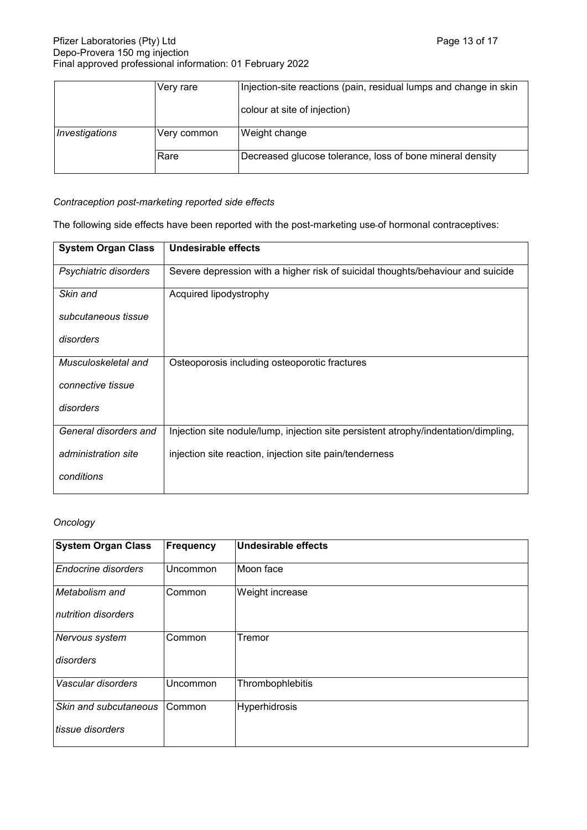|                | Very rare   | Injection-site reactions (pain, residual lumps and change in skin |
|----------------|-------------|-------------------------------------------------------------------|
|                |             | colour at site of injection)                                      |
| Investigations | Very common | Weight change                                                     |
|                | Rare        | Decreased glucose tolerance, loss of bone mineral density         |

# *Contraception post-marketing reported side effects*

The following side effects have been reported with the post-marketing use of hormonal contraceptives:

| <b>System Organ Class</b> | Undesirable effects                                                                 |
|---------------------------|-------------------------------------------------------------------------------------|
| Psychiatric disorders     | Severe depression with a higher risk of suicidal thoughts/behaviour and suicide     |
| Skin and                  | Acquired lipodystrophy                                                              |
| subcutaneous tissue       |                                                                                     |
| disorders                 |                                                                                     |
| Musculoskeletal and       | Osteoporosis including osteoporotic fractures                                       |
| connective tissue         |                                                                                     |
| disorders                 |                                                                                     |
| General disorders and     | Injection site nodule/lump, injection site persistent atrophy/indentation/dimpling, |
| administration site       | injection site reaction, injection site pain/tenderness                             |
| conditions                |                                                                                     |

## *Oncology*

| <b>System Organ Class</b>  | Frequency | Undesirable effects |
|----------------------------|-----------|---------------------|
| <b>Endocrine disorders</b> | Uncommon  | Moon face           |
| Metabolism and             | Common    | Weight increase     |
| nutrition disorders        |           |                     |
| Nervous system             | Common    | Tremor              |
| disorders                  |           |                     |
| Vascular disorders         | Uncommon  | Thrombophlebitis    |
| Skin and subcutaneous      | Common    | Hyperhidrosis       |
| tissue disorders           |           |                     |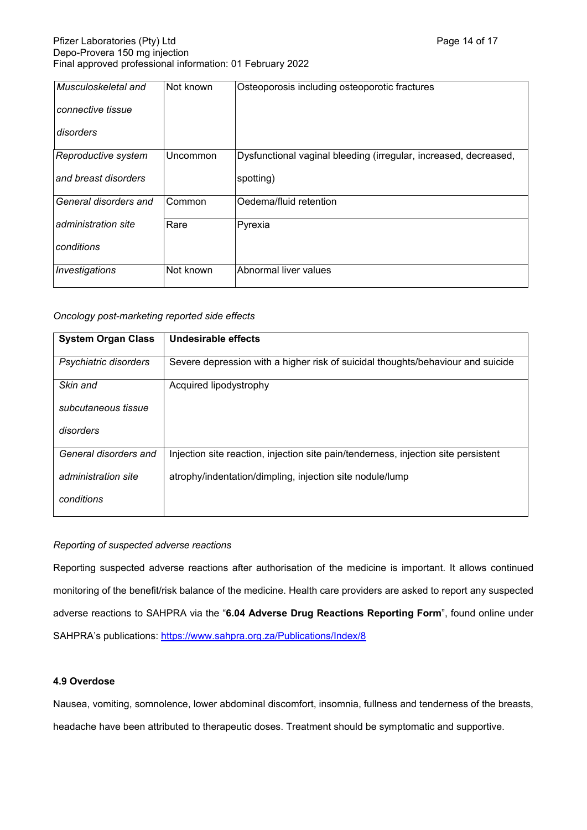| Musculoskeletal and   | Not known | Osteoporosis including osteoporotic fractures                    |
|-----------------------|-----------|------------------------------------------------------------------|
| connective tissue     |           |                                                                  |
| disorders             |           |                                                                  |
| Reproductive system   | Uncommon  | Dysfunctional vaginal bleeding (irregular, increased, decreased, |
| and breast disorders  |           | spotting)                                                        |
| General disorders and | Common    | Oedema/fluid retention                                           |
| administration site   | Rare      | Pyrexia                                                          |
| conditions            |           |                                                                  |
| Investigations        | Not known | Abnormal liver values                                            |

## *Oncology post-marketing reported side effects*

| <b>System Organ Class</b> | Undesirable effects                                                                |
|---------------------------|------------------------------------------------------------------------------------|
| Psychiatric disorders     | Severe depression with a higher risk of suicidal thoughts/behaviour and suicide    |
| Skin and                  | Acquired lipodystrophy                                                             |
| subcutaneous tissue       |                                                                                    |
| disorders                 |                                                                                    |
| General disorders and     | Injection site reaction, injection site pain/tenderness, injection site persistent |
| administration site       | atrophy/indentation/dimpling, injection site nodule/lump                           |
| conditions                |                                                                                    |

# *Reporting of suspected adverse reactions*

Reporting suspected adverse reactions after authorisation of the medicine is important. It allows continued monitoring of the benefit/risk balance of the medicine. Health care providers are asked to report any suspected adverse reactions to SAHPRA via the "**6.04 Adverse Drug Reactions Reporting Form**", found online under SAHPRA's publications:<https://www.sahpra.org.za/Publications/Index/8>

## **4.9 Overdose**

Nausea, vomiting, somnolence, lower abdominal discomfort, insomnia, fullness and tenderness of the breasts, headache have been attributed to therapeutic doses. Treatment should be symptomatic and supportive.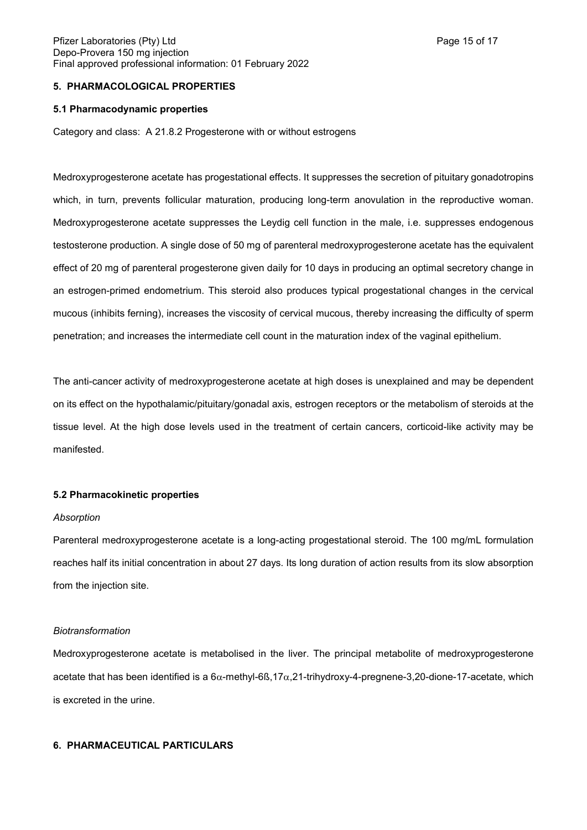## **5. PHARMACOLOGICAL PROPERTIES**

#### **5.1 Pharmacodynamic properties**

Category and class: A 21.8.2 Progesterone with or without estrogens

Medroxyprogesterone acetate has progestational effects. It suppresses the secretion of pituitary gonadotropins which, in turn, prevents follicular maturation, producing long-term anovulation in the reproductive woman. Medroxyprogesterone acetate suppresses the Leydig cell function in the male, i.e. suppresses endogenous testosterone production. A single dose of 50 mg of parenteral medroxyprogesterone acetate has the equivalent effect of 20 mg of parenteral progesterone given daily for 10 days in producing an optimal secretory change in an estrogen-primed endometrium. This steroid also produces typical progestational changes in the cervical mucous (inhibits ferning), increases the viscosity of cervical mucous, thereby increasing the difficulty of sperm penetration; and increases the intermediate cell count in the maturation index of the vaginal epithelium.

The anti-cancer activity of medroxyprogesterone acetate at high doses is unexplained and may be dependent on its effect on the hypothalamic/pituitary/gonadal axis, estrogen receptors or the metabolism of steroids at the tissue level. At the high dose levels used in the treatment of certain cancers, corticoid-like activity may be manifested.

#### **5.2 Pharmacokinetic properties**

#### *Absorption*

Parenteral medroxyprogesterone acetate is a long-acting progestational steroid. The 100 mg/mL formulation reaches half its initial concentration in about 27 days. Its long duration of action results from its slow absorption from the injection site.

#### *Biotransformation*

Medroxyprogesterone acetate is metabolised in the liver. The principal metabolite of medroxyprogesterone acetate that has been identified is a  $6\alpha$ -methyl-6ß,17 $\alpha$ ,21-trihydroxy-4-pregnene-3,20-dione-17-acetate, which is excreted in the urine.

#### **6. PHARMACEUTICAL PARTICULARS**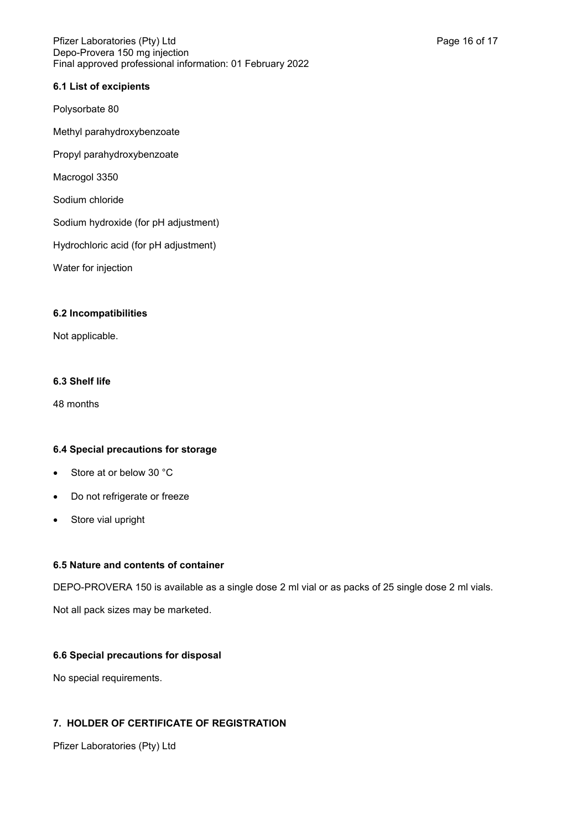#### Pfizer Laboratories (Pty) Ltd Page 16 of 17 and Page 16 of 17 and Page 16 of 17 and Page 16 of 17 and Page 16 of 17 Depo-Provera 150 mg injection Final approved professional information: 01 February 2022

## **6.1 List of excipients**

Polysorbate 80

Methyl parahydroxybenzoate

Propyl parahydroxybenzoate

Macrogol 3350

Sodium chloride

Sodium hydroxide (for pH adjustment)

Hydrochloric acid (for pH adjustment)

Water for injection

#### **6.2 Incompatibilities**

Not applicable.

## **6.3 Shelf life**

48 months

## **6.4 Special precautions for storage**

- Store at or below 30 °C
- Do not refrigerate or freeze
- Store vial upright

## **6.5 Nature and contents of container**

DEPO-PROVERA 150 is available as a single dose 2 ml vial or as packs of 25 single dose 2 ml vials.

Not all pack sizes may be marketed.

## **6.6 Special precautions for disposal**

No special requirements.

# **7. HOLDER OF CERTIFICATE OF REGISTRATION**

Pfizer Laboratories (Pty) Ltd